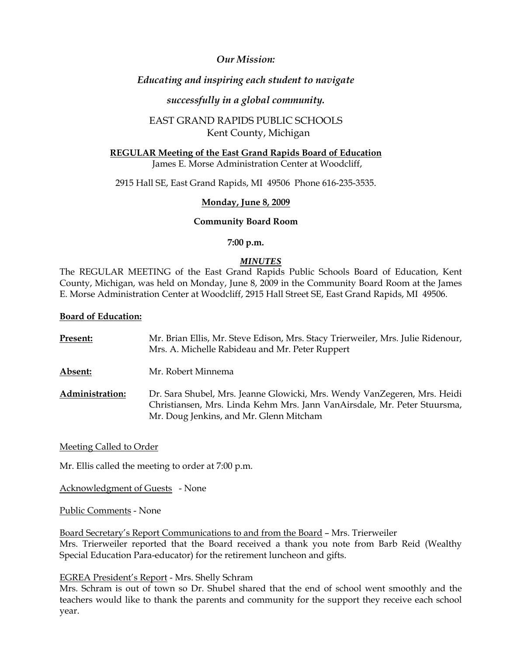# *Our Mission:*

# *Educating and inspiring each student to navigate*

# *successfully in a global community.*

# EAST GRAND RAPIDS PUBLIC SCHOOLS Kent County, Michigan

# **REGULAR Meeting of the East Grand Rapids Board of Education**

James E. Morse Administration Center at Woodcliff,

2915 Hall SE, East Grand Rapids, MI 49506 Phone 616-235-3535.

# **Monday, June 8, 2009**

# **Community Board Room**

#### **7:00 p.m.**

# *MINUTES*

The REGULAR MEETING of the East Grand Rapids Public Schools Board of Education, Kent County, Michigan, was held on Monday, June 8, 2009 in the Community Board Room at the James E. Morse Administration Center at Woodcliff, 2915 Hall Street SE, East Grand Rapids, MI 49506.

# **Board of Education:**

| Present:               | Mr. Brian Ellis, Mr. Steve Edison, Mrs. Stacy Trierweiler, Mrs. Julie Ridenour,<br>Mrs. A. Michelle Rabideau and Mr. Peter Ruppert                                                              |
|------------------------|-------------------------------------------------------------------------------------------------------------------------------------------------------------------------------------------------|
| Absent:                | Mr. Robert Minnema                                                                                                                                                                              |
| <b>Administration:</b> | Dr. Sara Shubel, Mrs. Jeanne Glowicki, Mrs. Wendy VanZegeren, Mrs. Heidi<br>Christiansen, Mrs. Linda Kehm Mrs. Jann VanAirsdale, Mr. Peter Stuursma,<br>Mr. Doug Jenkins, and Mr. Glenn Mitcham |

Meeting Called to Order

Mr. Ellis called the meeting to order at 7:00 p.m.

Acknowledgment of Guests - None

Public Comments - None

Board Secretary's Report Communications to and from the Board – Mrs. Trierweiler Mrs. Trierweiler reported that the Board received a thank you note from Barb Reid (Wealthy Special Education Para-educator) for the retirement luncheon and gifts.

# EGREA President's Report - Mrs. Shelly Schram

Mrs. Schram is out of town so Dr. Shubel shared that the end of school went smoothly and the teachers would like to thank the parents and community for the support they receive each school year.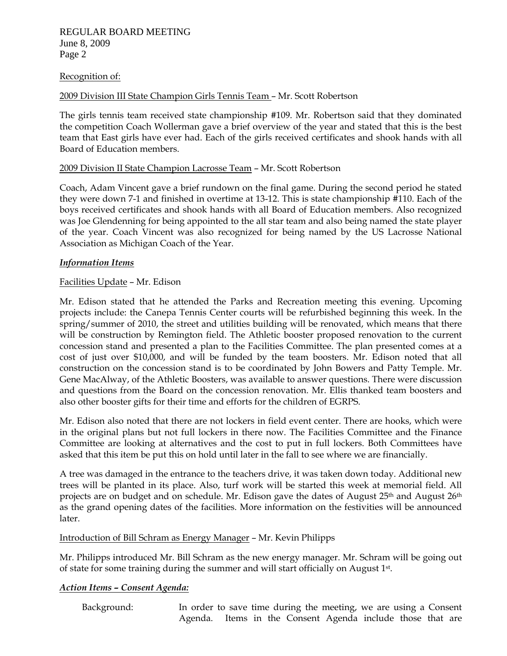# REGULAR BOARD MEETING June 8, 2009 Page 2

#### Recognition of:

#### 2009 Division III State Champion Girls Tennis Team – Mr. Scott Robertson

The girls tennis team received state championship #109. Mr. Robertson said that they dominated the competition Coach Wollerman gave a brief overview of the year and stated that this is the best team that East girls have ever had. Each of the girls received certificates and shook hands with all Board of Education members.

#### 2009 Division II State Champion Lacrosse Team – Mr. Scott Robertson

Coach, Adam Vincent gave a brief rundown on the final game. During the second period he stated they were down 7-1 and finished in overtime at 13-12. This is state championship #110. Each of the boys received certificates and shook hands with all Board of Education members. Also recognized was Joe Glendenning for being appointed to the all star team and also being named the state player of the year. Coach Vincent was also recognized for being named by the US Lacrosse National Association as Michigan Coach of the Year.

#### *Information Items*

#### Facilities Update – Mr. Edison

Mr. Edison stated that he attended the Parks and Recreation meeting this evening. Upcoming projects include: the Canepa Tennis Center courts will be refurbished beginning this week. In the spring/summer of 2010, the street and utilities building will be renovated, which means that there will be construction by Remington field. The Athletic booster proposed renovation to the current concession stand and presented a plan to the Facilities Committee. The plan presented comes at a cost of just over \$10,000, and will be funded by the team boosters. Mr. Edison noted that all construction on the concession stand is to be coordinated by John Bowers and Patty Temple. Mr. Gene MacAlway, of the Athletic Boosters, was available to answer questions. There were discussion and questions from the Board on the concession renovation. Mr. Ellis thanked team boosters and also other booster gifts for their time and efforts for the children of EGRPS.

Mr. Edison also noted that there are not lockers in field event center. There are hooks, which were in the original plans but not full lockers in there now. The Facilities Committee and the Finance Committee are looking at alternatives and the cost to put in full lockers. Both Committees have asked that this item be put this on hold until later in the fall to see where we are financially.

A tree was damaged in the entrance to the teachers drive, it was taken down today. Additional new trees will be planted in its place. Also, turf work will be started this week at memorial field. All projects are on budget and on schedule. Mr. Edison gave the dates of August 25<sup>th</sup> and August 26<sup>th</sup> as the grand opening dates of the facilities. More information on the festivities will be announced later.

#### Introduction of Bill Schram as Energy Manager – Mr. Kevin Philipps

Mr. Philipps introduced Mr. Bill Schram as the new energy manager. Mr. Schram will be going out of state for some training during the summer and will start officially on August 1st.

#### *Action Items – Consent Agenda:*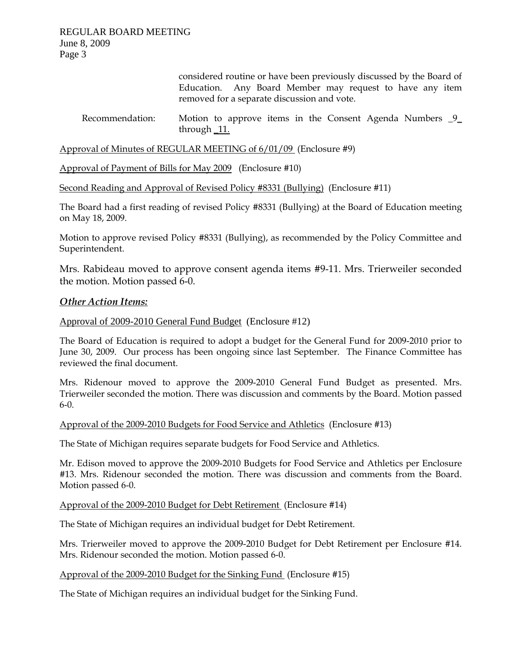considered routine or have been previously discussed by the Board of Education. Any Board Member may request to have any item removed for a separate discussion and vote.

# Recommendation: Motion to approve items in the Consent Agenda Numbers  $9$ through \_11.

Approval of Minutes of REGULAR MEETING of 6/01/09 (Enclosure #9)

Approval of Payment of Bills for May 2009 (Enclosure #10)

Second Reading and Approval of Revised Policy #8331 (Bullying) (Enclosure #11)

The Board had a first reading of revised Policy #8331 (Bullying) at the Board of Education meeting on May 18, 2009.

Motion to approve revised Policy #8331 (Bullying), as recommended by the Policy Committee and Superintendent.

Mrs. Rabideau moved to approve consent agenda items #9-11. Mrs. Trierweiler seconded the motion. Motion passed 6-0.

# *Other Action Items:*

# Approval of 2009-2010 General Fund Budget (Enclosure #12)

The Board of Education is required to adopt a budget for the General Fund for 2009-2010 prior to June 30, 2009. Our process has been ongoing since last September. The Finance Committee has reviewed the final document.

Mrs. Ridenour moved to approve the 2009-2010 General Fund Budget as presented. Mrs. Trierweiler seconded the motion. There was discussion and comments by the Board. Motion passed 6-0.

Approval of the 2009-2010 Budgets for Food Service and Athletics (Enclosure #13)

The State of Michigan requires separate budgets for Food Service and Athletics.

Mr. Edison moved to approve the 2009-2010 Budgets for Food Service and Athletics per Enclosure #13. Mrs. Ridenour seconded the motion. There was discussion and comments from the Board. Motion passed 6-0.

Approval of the 2009-2010 Budget for Debt Retirement (Enclosure #14)

The State of Michigan requires an individual budget for Debt Retirement.

Mrs. Trierweiler moved to approve the 2009-2010 Budget for Debt Retirement per Enclosure #14. Mrs. Ridenour seconded the motion. Motion passed 6-0.

#### Approval of the 2009-2010 Budget for the Sinking Fund (Enclosure #15)

The State of Michigan requires an individual budget for the Sinking Fund.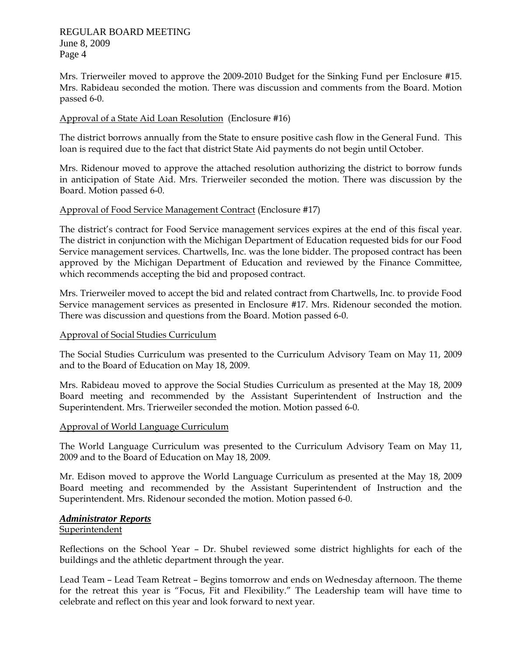# REGULAR BOARD MEETING June 8, 2009 Page 4

Mrs. Trierweiler moved to approve the 2009-2010 Budget for the Sinking Fund per Enclosure #15. Mrs. Rabideau seconded the motion. There was discussion and comments from the Board. Motion passed 6-0.

# Approval of a State Aid Loan Resolution (Enclosure #16)

The district borrows annually from the State to ensure positive cash flow in the General Fund. This loan is required due to the fact that district State Aid payments do not begin until October.

Mrs. Ridenour moved to approve the attached resolution authorizing the district to borrow funds in anticipation of State Aid. Mrs. Trierweiler seconded the motion. There was discussion by the Board. Motion passed 6-0.

# Approval of Food Service Management Contract (Enclosure #17)

The district's contract for Food Service management services expires at the end of this fiscal year. The district in conjunction with the Michigan Department of Education requested bids for our Food Service management services. Chartwells, Inc. was the lone bidder. The proposed contract has been approved by the Michigan Department of Education and reviewed by the Finance Committee, which recommends accepting the bid and proposed contract.

Mrs. Trierweiler moved to accept the bid and related contract from Chartwells, Inc. to provide Food Service management services as presented in Enclosure #17. Mrs. Ridenour seconded the motion. There was discussion and questions from the Board. Motion passed 6-0.

#### Approval of Social Studies Curriculum

The Social Studies Curriculum was presented to the Curriculum Advisory Team on May 11, 2009 and to the Board of Education on May 18, 2009.

Mrs. Rabideau moved to approve the Social Studies Curriculum as presented at the May 18, 2009 Board meeting and recommended by the Assistant Superintendent of Instruction and the Superintendent. Mrs. Trierweiler seconded the motion. Motion passed 6-0.

#### Approval of World Language Curriculum

The World Language Curriculum was presented to the Curriculum Advisory Team on May 11, 2009 and to the Board of Education on May 18, 2009.

Mr. Edison moved to approve the World Language Curriculum as presented at the May 18, 2009 Board meeting and recommended by the Assistant Superintendent of Instruction and the Superintendent. Mrs. Ridenour seconded the motion. Motion passed 6-0.

# *Administrator Reports*

#### Superintendent

Reflections on the School Year – Dr. Shubel reviewed some district highlights for each of the buildings and the athletic department through the year.

Lead Team – Lead Team Retreat – Begins tomorrow and ends on Wednesday afternoon. The theme for the retreat this year is "Focus, Fit and Flexibility." The Leadership team will have time to celebrate and reflect on this year and look forward to next year.